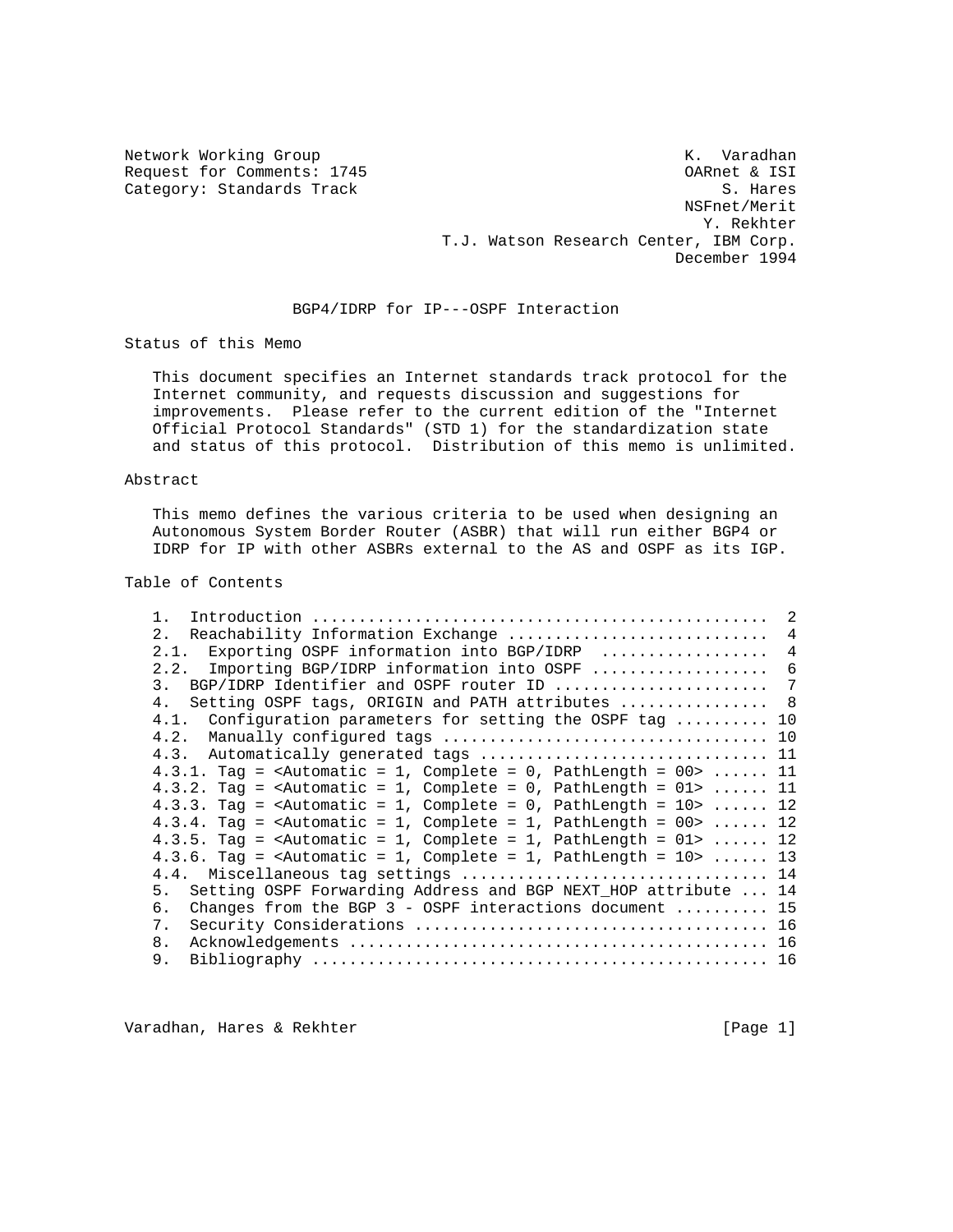Category: Standards Track

Network Working Group Network Working Group Network K. Varadhan Request for Comments: 1745 OARnet & ISI NSFnet/Merit Y. Rekhter T.J. Watson Research Center, IBM Corp. December 1994

# BGP4/IDRP for IP---OSPF Interaction

Status of this Memo

 This document specifies an Internet standards track protocol for the Internet community, and requests discussion and suggestions for improvements. Please refer to the current edition of the "Internet Official Protocol Standards" (STD 1) for the standardization state and status of this protocol. Distribution of this memo is unlimited.

## Abstract

 This memo defines the various criteria to be used when designing an Autonomous System Border Router (ASBR) that will run either BGP4 or IDRP for IP with other ASBRs external to the AS and OSPF as its IGP.

## Table of Contents

|     |                                                                                               | 2              |
|-----|-----------------------------------------------------------------------------------------------|----------------|
| 2.1 | Reachability Information Exchange                                                             | $\overline{4}$ |
|     | 2.1. Exporting OSPF information into BGP/IDRP                                                 | $\overline{4}$ |
|     | Importing BGP/IDRP information into OSPF<br>2.2.                                              | 6              |
| 3.  | BGP/IDRP Identifier and OSPF router ID                                                        | 7              |
| 4.  | Setting OSPF tags, ORIGIN and PATH attributes  8                                              |                |
|     | 4.1. Configuration parameters for setting the OSPF tag  10                                    |                |
|     |                                                                                               |                |
|     |                                                                                               |                |
|     | 4.3.1. Tag = <automatic 1,="" =="" complete="0," pathlength="&lt;math">00&gt;  11</automatic> |                |
|     | 4.3.2. Tag = <automatic 1,="" =="" complete="0," pathlength="&lt;math">01&gt;  11</automatic> |                |
|     | 4.3.3. Tag = <automatic 1,="" =="" complete="0," pathlength="&lt;math">10&gt;  12</automatic> |                |
|     | 4.3.4. Tag = <automatic 1,="" =="" complete="1," pathlength="&lt;math">00&gt;  12</automatic> |                |
|     | $4.3.5$ . Tag = <automatic 1,="" =="" complete="1," pathlength="01">  12</automatic>          |                |
|     | 4.3.6. Tag = <automatic 1,="" =="" complete="1," pathlength="&lt;math">10&gt;  13</automatic> |                |
|     |                                                                                               |                |
| 5.  | Setting OSPF Forwarding Address and BGP NEXT HOP attribute  14                                |                |
| б.  | Changes from the BGP $3$ - OSPF interactions document  15                                     |                |
| 7.  |                                                                                               |                |
| 8.  |                                                                                               |                |
| 9.  |                                                                                               |                |

Varadhan, Hares & Rekhter **East and Taylor (Page 1)** [Page 1]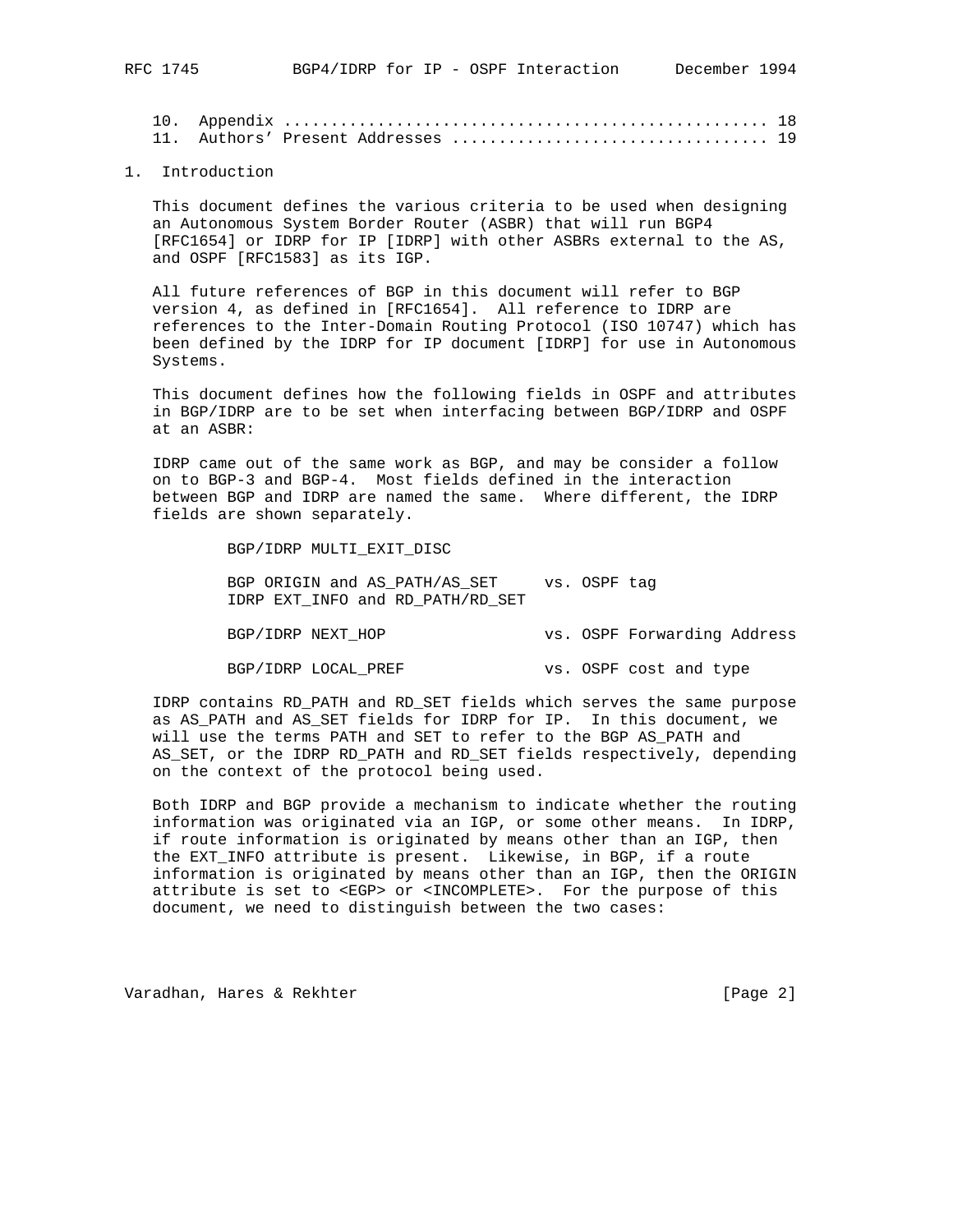10. Appendix .................................................... 18 11. Authors' Present Addresses .................................. 19

### 1. Introduction

 This document defines the various criteria to be used when designing an Autonomous System Border Router (ASBR) that will run BGP4 [RFC1654] or IDRP for IP [IDRP] with other ASBRs external to the AS, and OSPF [RFC1583] as its IGP.

 All future references of BGP in this document will refer to BGP version 4, as defined in [RFC1654]. All reference to IDRP are references to the Inter-Domain Routing Protocol (ISO 10747) which has been defined by the IDRP for IP document [IDRP] for use in Autonomous Systems.

 This document defines how the following fields in OSPF and attributes in BGP/IDRP are to be set when interfacing between BGP/IDRP and OSPF at an ASBR:

 IDRP came out of the same work as BGP, and may be consider a follow on to BGP-3 and BGP-4. Most fields defined in the interaction between BGP and IDRP are named the same. Where different, the IDRP fields are shown separately.

BGP/IDRP MULTI\_EXIT\_DISC

BGP ORIGIN and AS\_PATH/AS\_SET vs. OSPF tag IDRP EXT\_INFO and RD\_PATH/RD\_SET

BGP/IDRP NEXT\_HOP vs. OSPF Forwarding Address

BGP/IDRP LOCAL\_PREF vs. OSPF cost and type

 IDRP contains RD\_PATH and RD\_SET fields which serves the same purpose as AS\_PATH and AS\_SET fields for IDRP for IP. In this document, we will use the terms PATH and SET to refer to the BGP AS\_PATH and AS\_SET, or the IDRP RD\_PATH and RD\_SET fields respectively, depending on the context of the protocol being used.

 Both IDRP and BGP provide a mechanism to indicate whether the routing information was originated via an IGP, or some other means. In IDRP, if route information is originated by means other than an IGP, then the EXT\_INFO attribute is present. Likewise, in BGP, if a route information is originated by means other than an IGP, then the ORIGIN attribute is set to <EGP> or <INCOMPLETE>. For the purpose of this document, we need to distinguish between the two cases:

Varadhan, Hares & Rekhter [Page 2]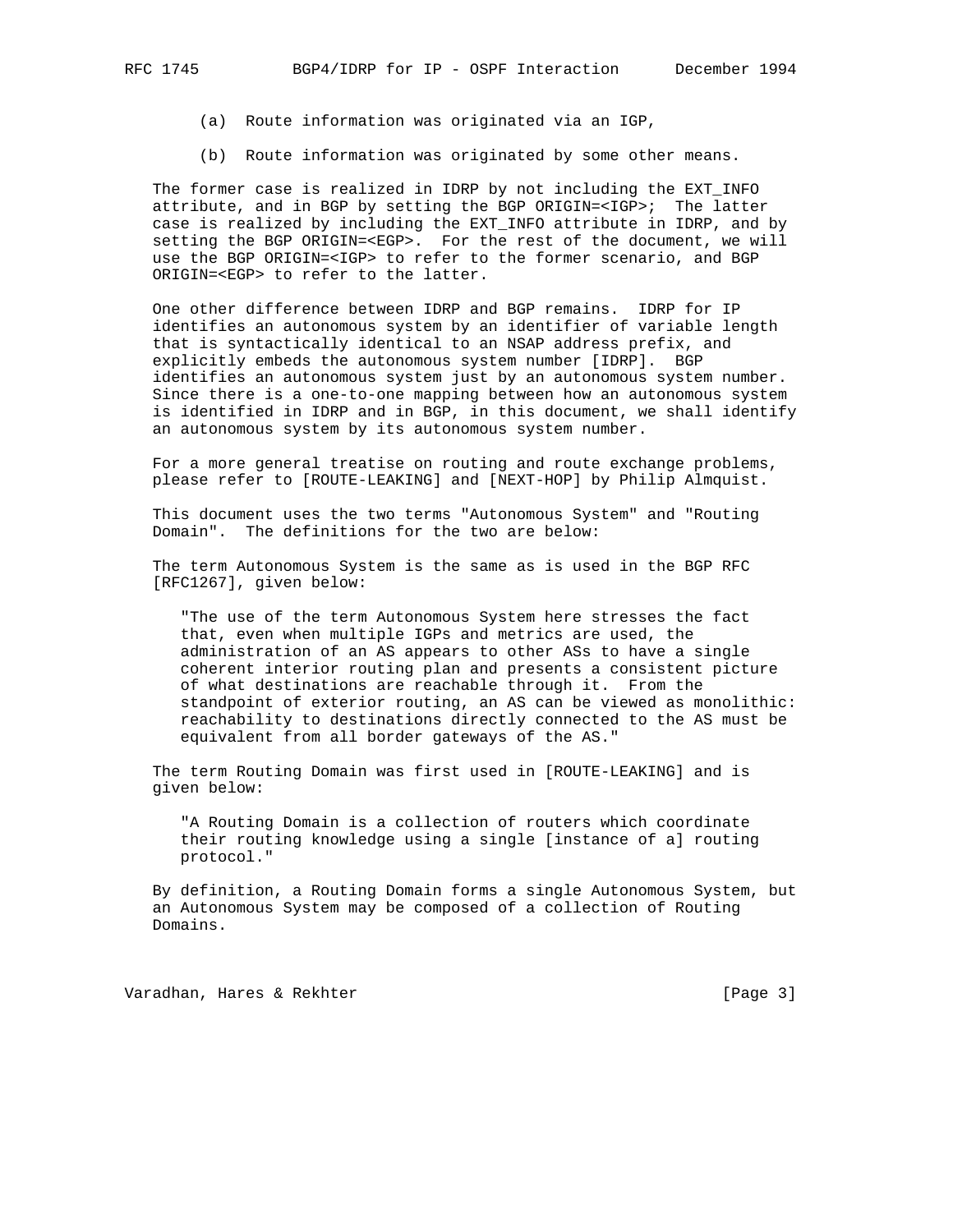- (a) Route information was originated via an IGP,
- (b) Route information was originated by some other means.

 The former case is realized in IDRP by not including the EXT\_INFO attribute, and in BGP by setting the BGP ORIGIN=<IGP>; The latter case is realized by including the EXT\_INFO attribute in IDRP, and by setting the BGP ORIGIN=<EGP>. For the rest of the document, we will use the BGP ORIGIN=<IGP> to refer to the former scenario, and BGP ORIGIN=<EGP> to refer to the latter.

 One other difference between IDRP and BGP remains. IDRP for IP identifies an autonomous system by an identifier of variable length that is syntactically identical to an NSAP address prefix, and explicitly embeds the autonomous system number [IDRP]. BGP identifies an autonomous system just by an autonomous system number. Since there is a one-to-one mapping between how an autonomous system is identified in IDRP and in BGP, in this document, we shall identify an autonomous system by its autonomous system number.

 For a more general treatise on routing and route exchange problems, please refer to [ROUTE-LEAKING] and [NEXT-HOP] by Philip Almquist.

 This document uses the two terms "Autonomous System" and "Routing Domain". The definitions for the two are below:

 The term Autonomous System is the same as is used in the BGP RFC [RFC1267], given below:

 "The use of the term Autonomous System here stresses the fact that, even when multiple IGPs and metrics are used, the administration of an AS appears to other ASs to have a single coherent interior routing plan and presents a consistent picture of what destinations are reachable through it. From the standpoint of exterior routing, an AS can be viewed as monolithic: reachability to destinations directly connected to the AS must be equivalent from all border gateways of the AS."

 The term Routing Domain was first used in [ROUTE-LEAKING] and is given below:

 "A Routing Domain is a collection of routers which coordinate their routing knowledge using a single [instance of a] routing protocol."

 By definition, a Routing Domain forms a single Autonomous System, but an Autonomous System may be composed of a collection of Routing Domains.

Varadhan, Hares & Rekhter [Page 3]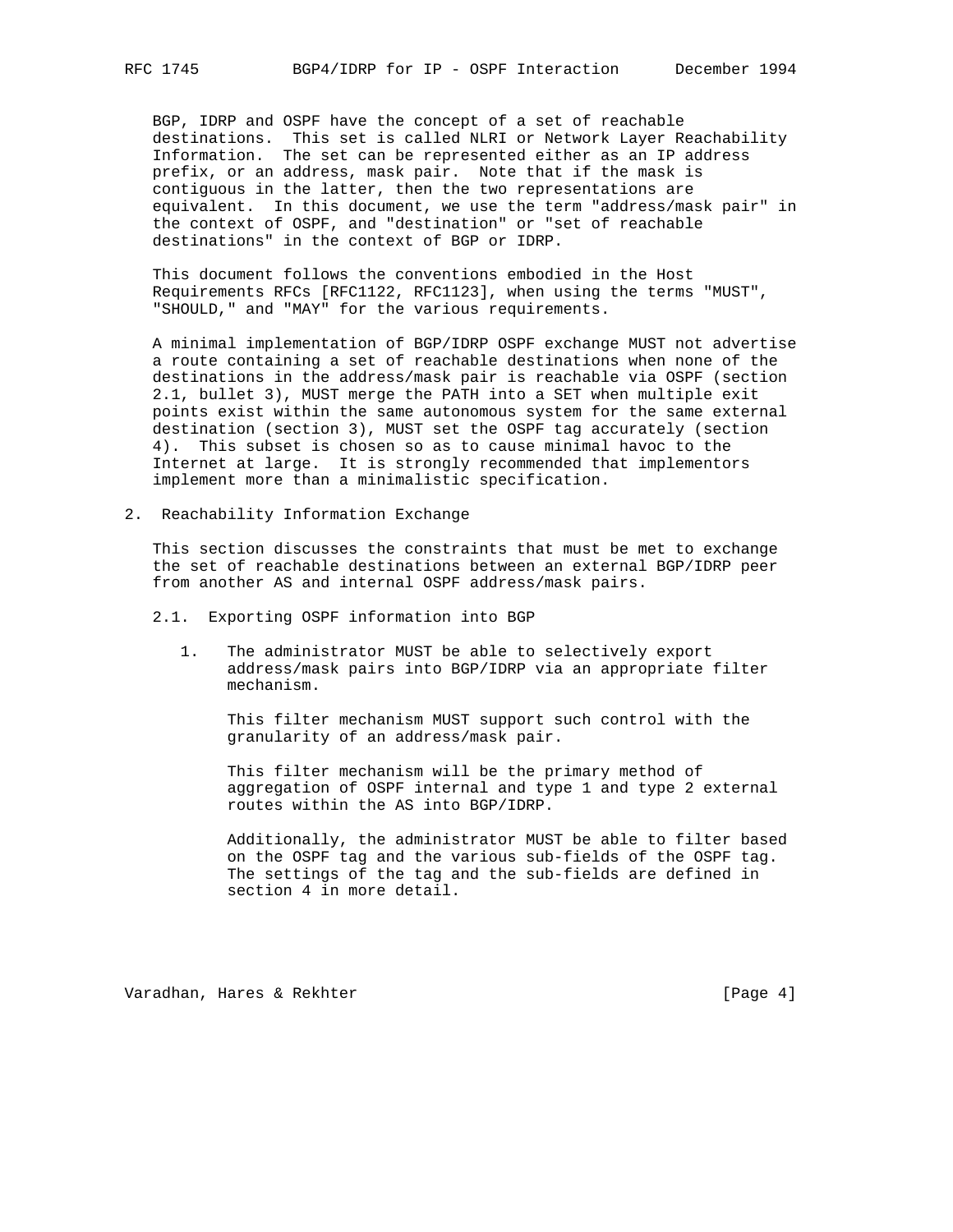BGP, IDRP and OSPF have the concept of a set of reachable destinations. This set is called NLRI or Network Layer Reachability Information. The set can be represented either as an IP address prefix, or an address, mask pair. Note that if the mask is contiguous in the latter, then the two representations are equivalent. In this document, we use the term "address/mask pair" in the context of OSPF, and "destination" or "set of reachable destinations" in the context of BGP or IDRP.

 This document follows the conventions embodied in the Host Requirements RFCs [RFC1122, RFC1123], when using the terms "MUST", "SHOULD," and "MAY" for the various requirements.

 A minimal implementation of BGP/IDRP OSPF exchange MUST not advertise a route containing a set of reachable destinations when none of the destinations in the address/mask pair is reachable via OSPF (section 2.1, bullet 3), MUST merge the PATH into a SET when multiple exit points exist within the same autonomous system for the same external destination (section 3), MUST set the OSPF tag accurately (section 4). This subset is chosen so as to cause minimal havoc to the Internet at large. It is strongly recommended that implementors implement more than a minimalistic specification.

2. Reachability Information Exchange

 This section discusses the constraints that must be met to exchange the set of reachable destinations between an external BGP/IDRP peer from another AS and internal OSPF address/mask pairs.

- 2.1. Exporting OSPF information into BGP
	- 1. The administrator MUST be able to selectively export address/mask pairs into BGP/IDRP via an appropriate filter mechanism.

 This filter mechanism MUST support such control with the granularity of an address/mask pair.

 This filter mechanism will be the primary method of aggregation of OSPF internal and type 1 and type 2 external routes within the AS into BGP/IDRP.

 Additionally, the administrator MUST be able to filter based on the OSPF tag and the various sub-fields of the OSPF tag. The settings of the tag and the sub-fields are defined in section 4 in more detail.

Varadhan, Hares & Rekhter [Page 4]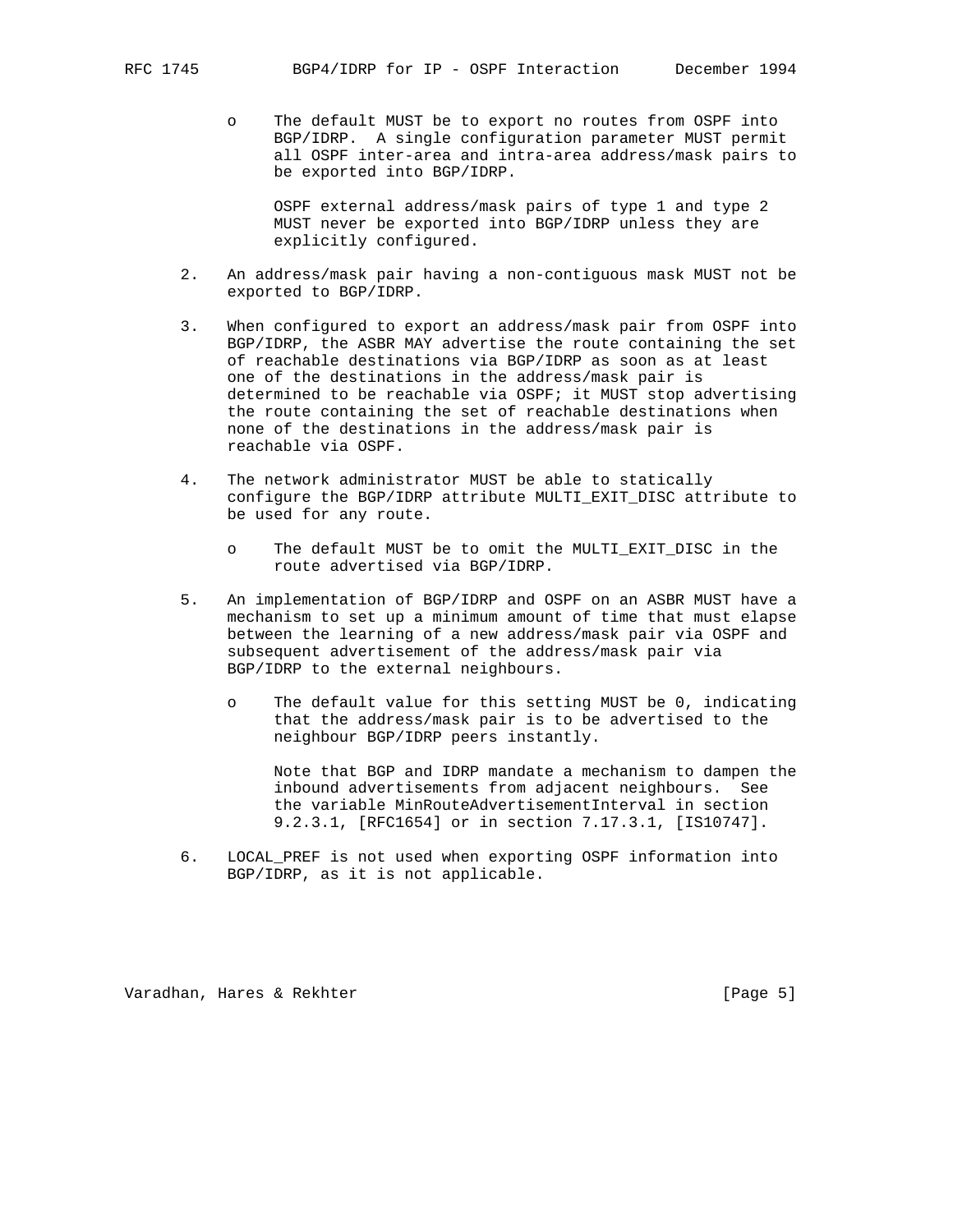o The default MUST be to export no routes from OSPF into BGP/IDRP. A single configuration parameter MUST permit all OSPF inter-area and intra-area address/mask pairs to be exported into BGP/IDRP.

 OSPF external address/mask pairs of type 1 and type 2 MUST never be exported into BGP/IDRP unless they are explicitly configured.

- 2. An address/mask pair having a non-contiguous mask MUST not be exported to BGP/IDRP.
- 3. When configured to export an address/mask pair from OSPF into BGP/IDRP, the ASBR MAY advertise the route containing the set of reachable destinations via BGP/IDRP as soon as at least one of the destinations in the address/mask pair is determined to be reachable via OSPF; it MUST stop advertising the route containing the set of reachable destinations when none of the destinations in the address/mask pair is reachable via OSPF.
- 4. The network administrator MUST be able to statically configure the BGP/IDRP attribute MULTI\_EXIT\_DISC attribute to be used for any route.
	- o The default MUST be to omit the MULTI\_EXIT\_DISC in the route advertised via BGP/IDRP.
- 5. An implementation of BGP/IDRP and OSPF on an ASBR MUST have a mechanism to set up a minimum amount of time that must elapse between the learning of a new address/mask pair via OSPF and subsequent advertisement of the address/mask pair via BGP/IDRP to the external neighbours.
	- o The default value for this setting MUST be 0, indicating that the address/mask pair is to be advertised to the neighbour BGP/IDRP peers instantly.

 Note that BGP and IDRP mandate a mechanism to dampen the inbound advertisements from adjacent neighbours. See the variable MinRouteAdvertisementInterval in section 9.2.3.1, [RFC1654] or in section 7.17.3.1, [IS10747].

 6. LOCAL\_PREF is not used when exporting OSPF information into BGP/IDRP, as it is not applicable.

Varadhan, Hares & Rekhter [Page 5]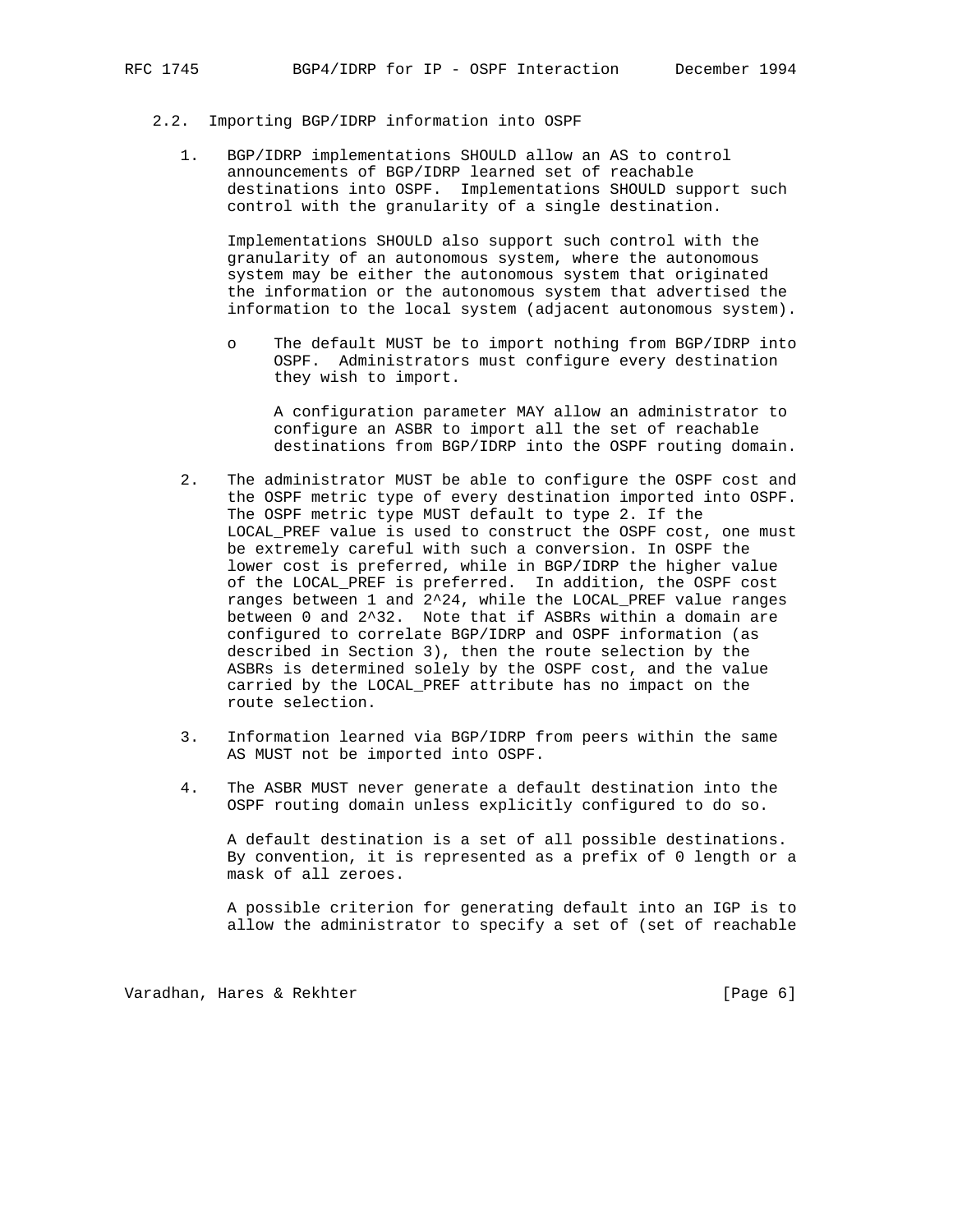- 2.2. Importing BGP/IDRP information into OSPF
	- 1. BGP/IDRP implementations SHOULD allow an AS to control announcements of BGP/IDRP learned set of reachable destinations into OSPF. Implementations SHOULD support such control with the granularity of a single destination.

 Implementations SHOULD also support such control with the granularity of an autonomous system, where the autonomous system may be either the autonomous system that originated the information or the autonomous system that advertised the information to the local system (adjacent autonomous system).

 o The default MUST be to import nothing from BGP/IDRP into OSPF. Administrators must configure every destination they wish to import.

 A configuration parameter MAY allow an administrator to configure an ASBR to import all the set of reachable destinations from BGP/IDRP into the OSPF routing domain.

- 2. The administrator MUST be able to configure the OSPF cost and the OSPF metric type of every destination imported into OSPF. The OSPF metric type MUST default to type 2. If the LOCAL\_PREF value is used to construct the OSPF cost, one must be extremely careful with such a conversion. In OSPF the lower cost is preferred, while in BGP/IDRP the higher value of the LOCAL\_PREF is preferred. In addition, the OSPF cost ranges between 1 and 2^24, while the LOCAL\_PREF value ranges between 0 and 2^32. Note that if ASBRs within a domain are configured to correlate BGP/IDRP and OSPF information (as described in Section 3), then the route selection by the ASBRs is determined solely by the OSPF cost, and the value carried by the LOCAL\_PREF attribute has no impact on the route selection.
- 3. Information learned via BGP/IDRP from peers within the same AS MUST not be imported into OSPF.
- 4. The ASBR MUST never generate a default destination into the OSPF routing domain unless explicitly configured to do so.

 A default destination is a set of all possible destinations. By convention, it is represented as a prefix of 0 length or a mask of all zeroes.

 A possible criterion for generating default into an IGP is to allow the administrator to specify a set of (set of reachable

Varadhan, Hares & Rekhter **East and Taylor (Page 6**)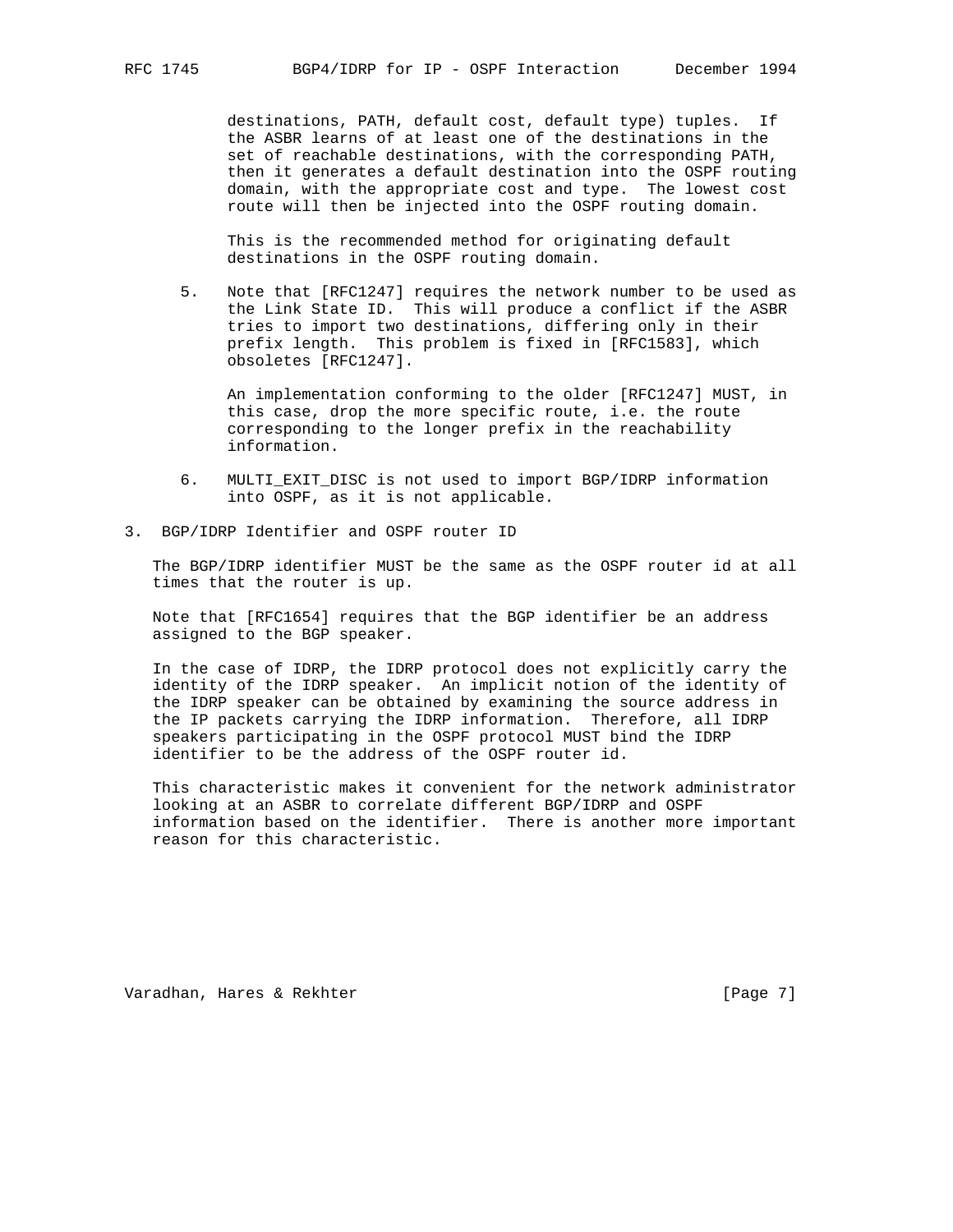destinations, PATH, default cost, default type) tuples. If the ASBR learns of at least one of the destinations in the set of reachable destinations, with the corresponding PATH, then it generates a default destination into the OSPF routing domain, with the appropriate cost and type. The lowest cost route will then be injected into the OSPF routing domain.

 This is the recommended method for originating default destinations in the OSPF routing domain.

 5. Note that [RFC1247] requires the network number to be used as the Link State ID. This will produce a conflict if the ASBR tries to import two destinations, differing only in their prefix length. This problem is fixed in [RFC1583], which obsoletes [RFC1247].

 An implementation conforming to the older [RFC1247] MUST, in this case, drop the more specific route, i.e. the route corresponding to the longer prefix in the reachability information.

- 6. MULTI\_EXIT\_DISC is not used to import BGP/IDRP information into OSPF, as it is not applicable.
- 3. BGP/IDRP Identifier and OSPF router ID

 The BGP/IDRP identifier MUST be the same as the OSPF router id at all times that the router is up.

 Note that [RFC1654] requires that the BGP identifier be an address assigned to the BGP speaker.

 In the case of IDRP, the IDRP protocol does not explicitly carry the identity of the IDRP speaker. An implicit notion of the identity of the IDRP speaker can be obtained by examining the source address in the IP packets carrying the IDRP information. Therefore, all IDRP speakers participating in the OSPF protocol MUST bind the IDRP identifier to be the address of the OSPF router id.

 This characteristic makes it convenient for the network administrator looking at an ASBR to correlate different BGP/IDRP and OSPF information based on the identifier. There is another more important reason for this characteristic.

Varadhan, Hares & Rekhter [Page 7]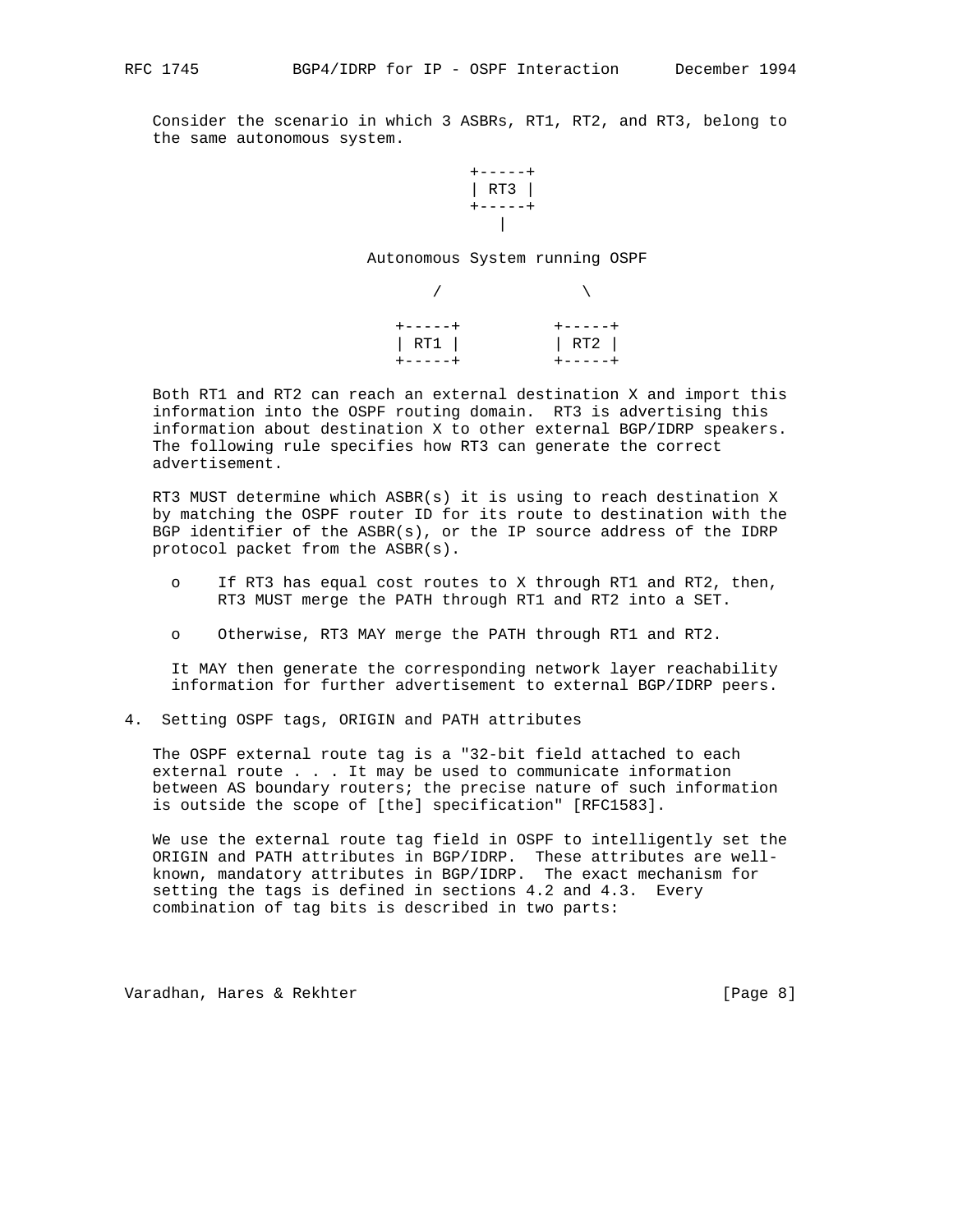Consider the scenario in which 3 ASBRs, RT1, RT2, and RT3, belong to the same autonomous system.



Autonomous System running OSPF

| $+ - - - - +$ | $+ - - - - +$ |
|---------------|---------------|
| RT1           | RT2           |
| $+ - - - - +$ | $+ - - - - +$ |

 Both RT1 and RT2 can reach an external destination X and import this information into the OSPF routing domain. RT3 is advertising this information about destination X to other external BGP/IDRP speakers. The following rule specifies how RT3 can generate the correct advertisement.

 RT3 MUST determine which ASBR(s) it is using to reach destination X by matching the OSPF router ID for its route to destination with the BGP identifier of the ASBR(s), or the IP source address of the IDRP protocol packet from the ASBR(s).

- o If RT3 has equal cost routes to X through RT1 and RT2, then, RT3 MUST merge the PATH through RT1 and RT2 into a SET.
- o Otherwise, RT3 MAY merge the PATH through RT1 and RT2.

 It MAY then generate the corresponding network layer reachability information for further advertisement to external BGP/IDRP peers.

4. Setting OSPF tags, ORIGIN and PATH attributes

 The OSPF external route tag is a "32-bit field attached to each external route . . . It may be used to communicate information between AS boundary routers; the precise nature of such information is outside the scope of [the] specification" [RFC1583].

 We use the external route tag field in OSPF to intelligently set the ORIGIN and PATH attributes in BGP/IDRP. These attributes are well known, mandatory attributes in BGP/IDRP. The exact mechanism for setting the tags is defined in sections 4.2 and 4.3. Every combination of tag bits is described in two parts:

Varadhan, Hares & Rekhter **East and Taylor (Page 8**)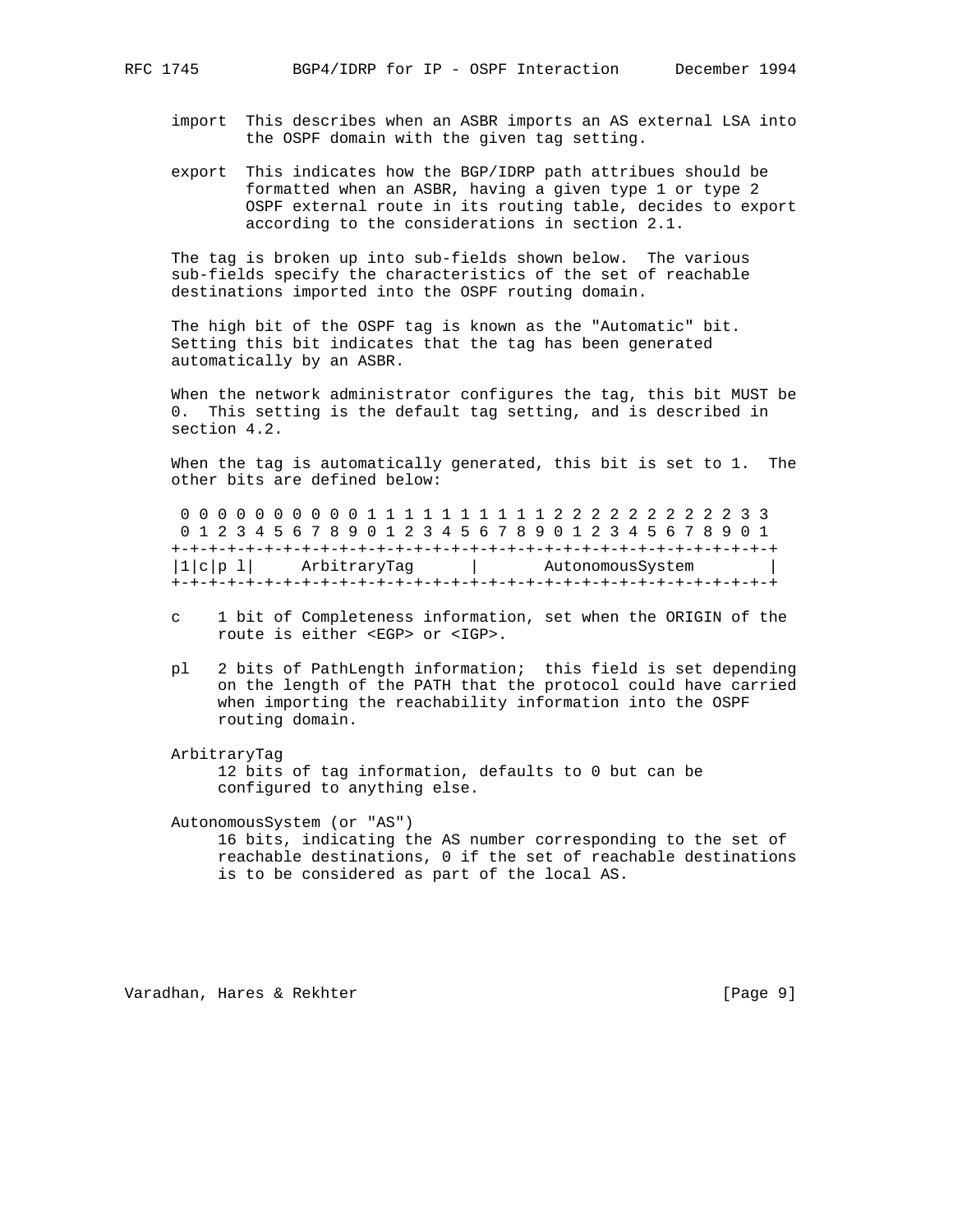- import This describes when an ASBR imports an AS external LSA into the OSPF domain with the given tag setting.
- export This indicates how the BGP/IDRP path attribues should be formatted when an ASBR, having a given type 1 or type 2 OSPF external route in its routing table, decides to export according to the considerations in section 2.1.

 The tag is broken up into sub-fields shown below. The various sub-fields specify the characteristics of the set of reachable destinations imported into the OSPF routing domain.

 The high bit of the OSPF tag is known as the "Automatic" bit. Setting this bit indicates that the tag has been generated automatically by an ASBR.

 When the network administrator configures the tag, this bit MUST be 0. This setting is the default tag setting, and is described in section 4.2.

 When the tag is automatically generated, this bit is set to 1. The other bits are defined below:

 0 0 0 0 0 0 0 0 0 0 1 1 1 1 1 1 1 1 1 1 2 2 2 2 2 2 2 2 2 2 3 3 0 1 2 3 4 5 6 7 8 9 0 1 2 3 4 5 6 7 8 9 0 1 2 3 4 5 6 7 8 9 0 1 +-+-+-+-+-+-+-+-+-+-+-+-+-+-+-+-+-+-+-+-+-+-+-+-+-+-+-+-+-+-+-+-+ |1|c|p 1| ArbitraryTag | AutonomousSystem | +-+-+-+-+-+-+-+-+-+-+-+-+-+-+-+-+-+-+-+-+-+-+-+-+-+-+-+-+-+-+-+-+

- c 1 bit of Completeness information, set when the ORIGIN of the route is either <EGP> or <IGP>.
- pl 2 bits of PathLength information; this field is set depending on the length of the PATH that the protocol could have carried when importing the reachability information into the OSPF routing domain.

#### ArbitraryTag

 12 bits of tag information, defaults to 0 but can be configured to anything else.

AutonomousSystem (or "AS")

 16 bits, indicating the AS number corresponding to the set of reachable destinations, 0 if the set of reachable destinations is to be considered as part of the local AS.

Varadhan, Hares & Rekhter **East and Taylor (Page 9**)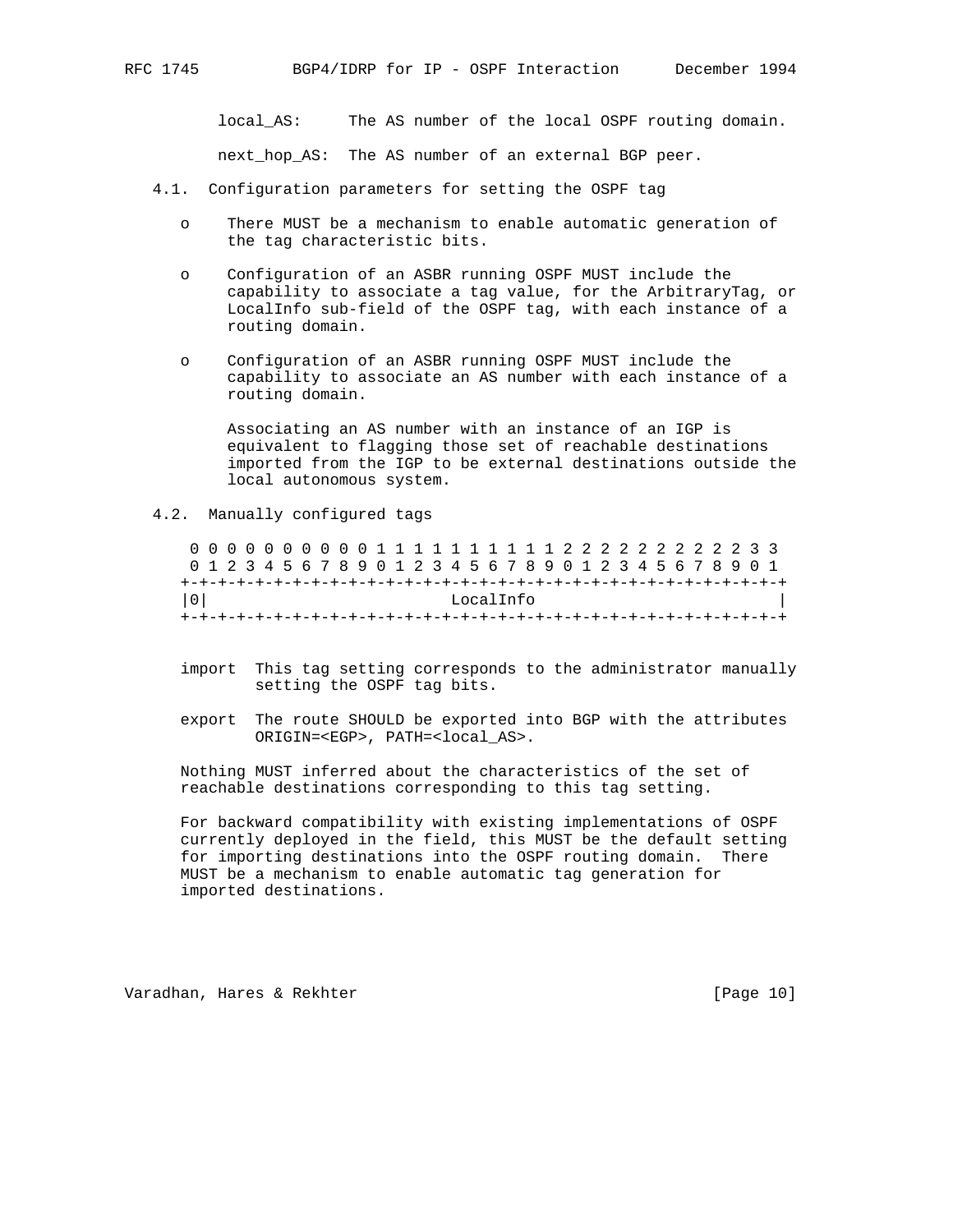local\_AS: The AS number of the local OSPF routing domain. next\_hop\_AS: The AS number of an external BGP peer.

- 4.1. Configuration parameters for setting the OSPF tag
	- o There MUST be a mechanism to enable automatic generation of the tag characteristic bits.
	- o Configuration of an ASBR running OSPF MUST include the capability to associate a tag value, for the ArbitraryTag, or LocalInfo sub-field of the OSPF tag, with each instance of a routing domain.
	- o Configuration of an ASBR running OSPF MUST include the capability to associate an AS number with each instance of a routing domain.

 Associating an AS number with an instance of an IGP is equivalent to flagging those set of reachable destinations imported from the IGP to be external destinations outside the local autonomous system.

4.2. Manually configured tags

 0 0 0 0 0 0 0 0 0 0 1 1 1 1 1 1 1 1 1 1 2 2 2 2 2 2 2 2 2 2 3 3 0 1 2 3 4 5 6 7 8 9 0 1 2 3 4 5 6 7 8 9 0 1 2 3 4 5 6 7 8 9 0 1 +-+-+-+-+-+-+-+-+-+-+-+-+-+-+-+-+-+-+-+-+-+-+-+-+-+-+-+-+-+-+-+-+ |0| LocalInfo | +-+-+-+-+-+-+-+-+-+-+-+-+-+-+-+-+-+-+-+-+-+-+-+-+-+-+-+-+-+-+-+-+

- import This tag setting corresponds to the administrator manually setting the OSPF tag bits.
- export The route SHOULD be exported into BGP with the attributes ORIGIN=<EGP>, PATH=<local\_AS>.

 Nothing MUST inferred about the characteristics of the set of reachable destinations corresponding to this tag setting.

 For backward compatibility with existing implementations of OSPF currently deployed in the field, this MUST be the default setting for importing destinations into the OSPF routing domain. There MUST be a mechanism to enable automatic tag generation for imported destinations.

Varadhan, Hares & Rekhter [Page 10]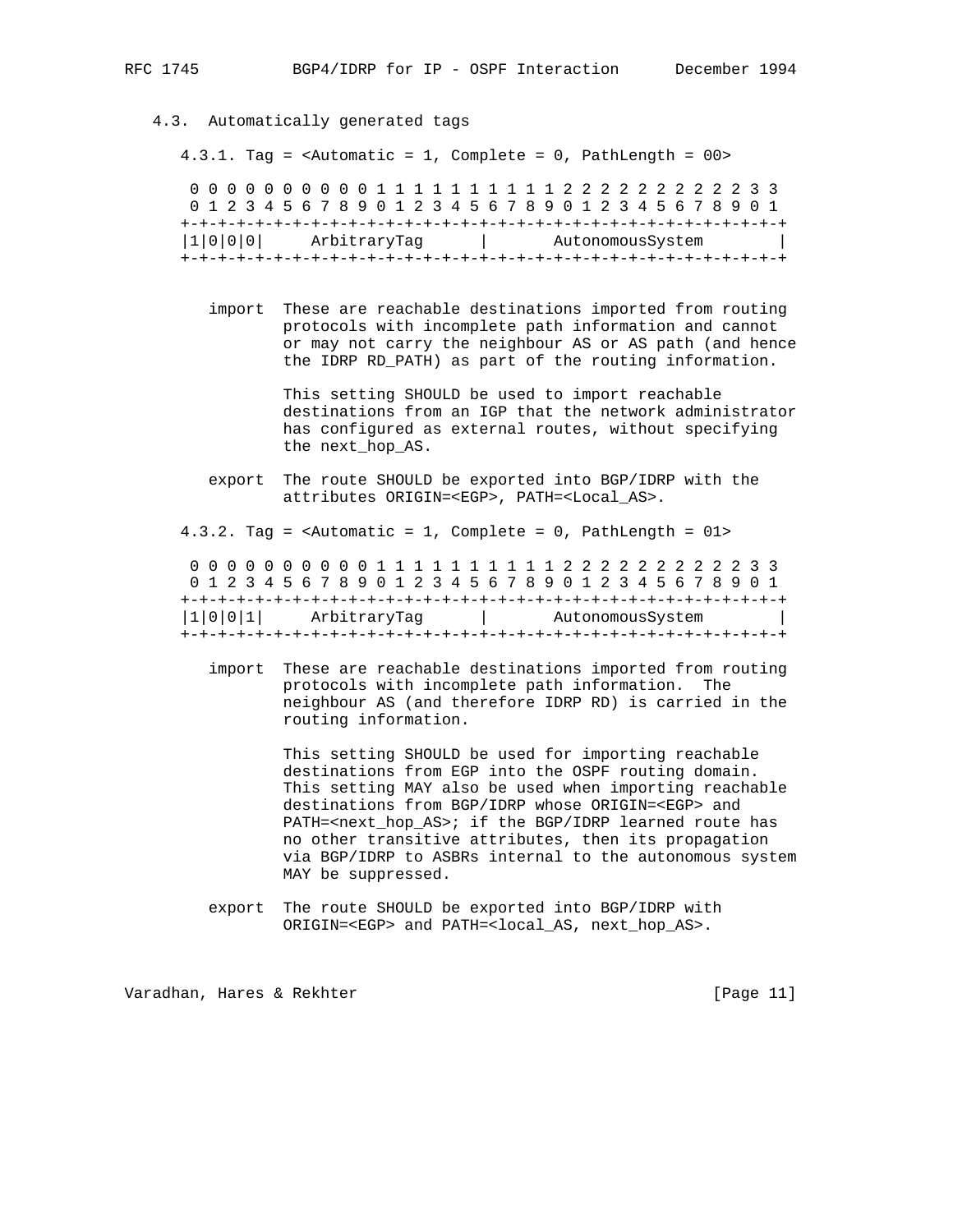4.3. Automatically generated tags 4.3.1. Tag = <Automatic = 1, Complete = 0, PathLength = 00> 0 0 0 0 0 0 0 0 0 0 1 1 1 1 1 1 1 1 1 1 2 2 2 2 2 2 2 2 2 2 3 3 0 1 2 3 4 5 6 7 8 9 0 1 2 3 4 5 6 7 8 9 0 1 2 3 4 5 6 7 8 9 0 1 +-+-+-+-+-+-+-+-+-+-+-+-+-+-+-+-+-+-+-+-+-+-+-+-+-+-+-+-+-+-+-+-+ |1|0|0|0| ArbitraryTag | AutonomousSystem | +-+-+-+-+-+-+-+-+-+-+-+-+-+-+-+-+-+-+-+-+-+-+-+-+-+-+-+-+-+-+-+-+ import These are reachable destinations imported from routing protocols with incomplete path information and cannot or may not carry the neighbour AS or AS path (and hence the IDRP RD\_PATH) as part of the routing information. This setting SHOULD be used to import reachable destinations from an IGP that the network administrator has configured as external routes, without specifying the next\_hop\_AS.

 export The route SHOULD be exported into BGP/IDRP with the attributes ORIGIN=<EGP>, PATH=<Local\_AS>.

4.3.2. Tag = <Automatic = 1, Complete = 0, PathLength = 01>

 0 0 0 0 0 0 0 0 0 0 1 1 1 1 1 1 1 1 1 1 2 2 2 2 2 2 2 2 2 2 3 3 0 1 2 3 4 5 6 7 8 9 0 1 2 3 4 5 6 7 8 9 0 1 2 3 4 5 6 7 8 9 0 1 +-+-+-+-+-+-+-+-+-+-+-+-+-+-+-+-+-+-+-+-+-+-+-+-+-+-+-+-+-+-+-+-+ |1|0|0|1| ArbitraryTag | AutonomousSystem | +-+-+-+-+-+-+-+-+-+-+-+-+-+-+-+-+-+-+-+-+-+-+-+-+-+-+-+-+-+-+-+-+

 import These are reachable destinations imported from routing protocols with incomplete path information. The neighbour AS (and therefore IDRP RD) is carried in the routing information.

> This setting SHOULD be used for importing reachable destinations from EGP into the OSPF routing domain. This setting MAY also be used when importing reachable destinations from BGP/IDRP whose ORIGIN=<EGP> and PATH=<next\_hop\_AS>; if the BGP/IDRP learned route has no other transitive attributes, then its propagation via BGP/IDRP to ASBRs internal to the autonomous system MAY be suppressed.

 export The route SHOULD be exported into BGP/IDRP with ORIGIN=<EGP> and PATH=<local\_AS, next\_hop\_AS>.

Varadhan, Hares & Rekhter [Page 11]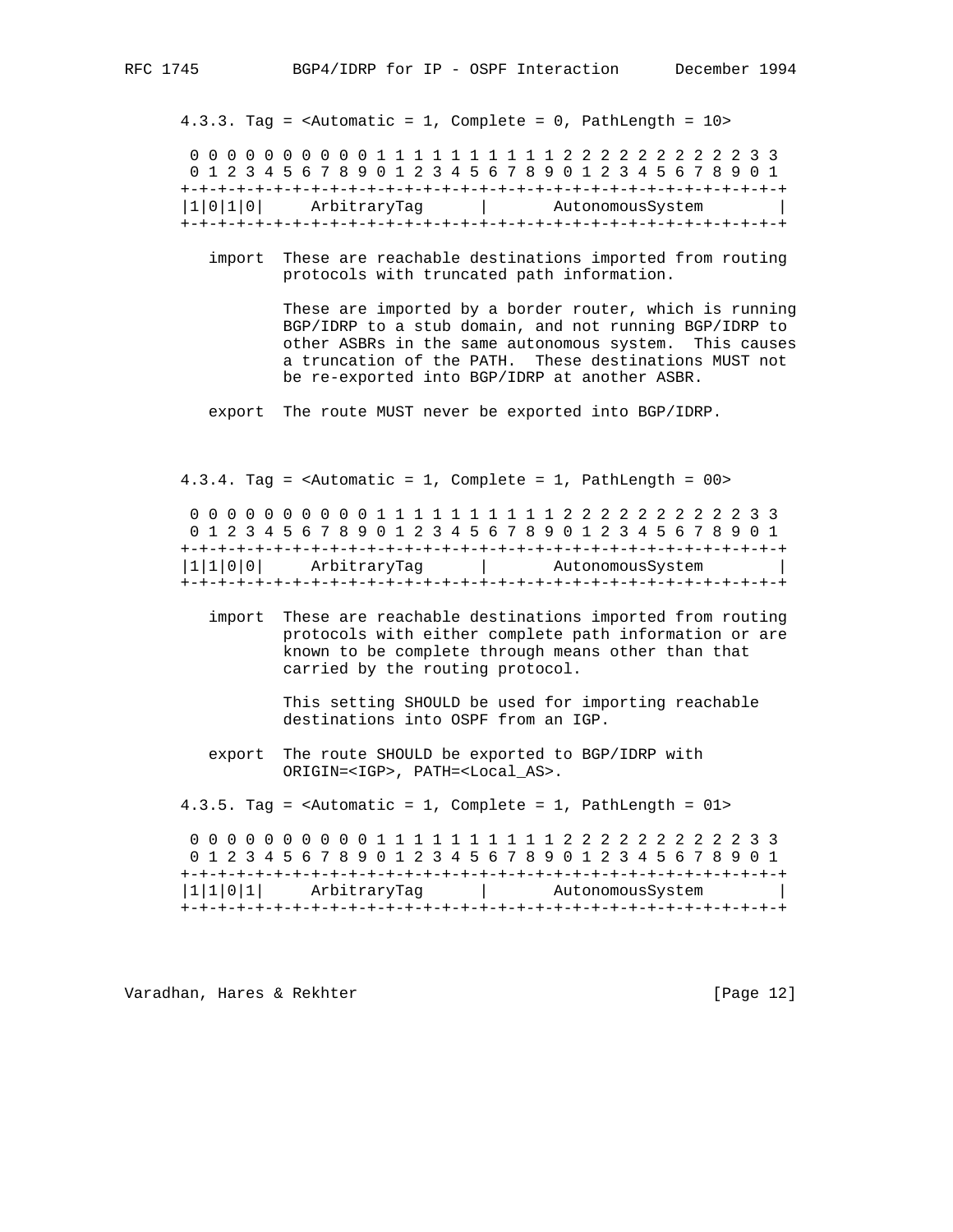4.3.3. Tag = <Automatic = 1, Complete = 0, PathLength = 10> 0 0 0 0 0 0 0 0 0 0 1 1 1 1 1 1 1 1 1 1 2 2 2 2 2 2 2 2 2 2 3 3 0 1 2 3 4 5 6 7 8 9 0 1 2 3 4 5 6 7 8 9 0 1 2 3 4 5 6 7 8 9 0 1 +-+-+-+-+-+-+-+-+-+-+-+-+-+-+-+-+-+-+-+-+-+-+-+-+-+-+-+-+-+-+-+-+ |1|0|1|0| ArbitraryTag | AutonomousSystem +-+-+-+-+-+-+-+-+-+-+-+-+-+-+-+-+-+-+-+-+-+-+-+-+-+-+-+-+-+-+-+-+

 import These are reachable destinations imported from routing protocols with truncated path information.

> These are imported by a border router, which is running BGP/IDRP to a stub domain, and not running BGP/IDRP to other ASBRs in the same autonomous system. This causes a truncation of the PATH. These destinations MUST not be re-exported into BGP/IDRP at another ASBR.

export The route MUST never be exported into BGP/IDRP.

 4.3.4. Tag = <Automatic = 1, Complete = 1, PathLength = 00> 0 0 0 0 0 0 0 0 0 0 1 1 1 1 1 1 1 1 1 1 2 2 2 2 2 2 2 2 2 2 3 3

 0 1 2 3 4 5 6 7 8 9 0 1 2 3 4 5 6 7 8 9 0 1 2 3 4 5 6 7 8 9 0 1 +-+-+-+-+-+-+-+-+-+-+-+-+-+-+-+-+-+-+-+-+-+-+-+-+-+-+-+-+-+-+-+-+ |1|1|0|0| ArbitraryTag | AutonomousSystem | +-+-+-+-+-+-+-+-+-+-+-+-+-+-+-+-+-+-+-+-+-+-+-+-+-+-+-+-+-+-+-+-+

 import These are reachable destinations imported from routing protocols with either complete path information or are known to be complete through means other than that carried by the routing protocol.

> This setting SHOULD be used for importing reachable destinations into OSPF from an IGP.

 export The route SHOULD be exported to BGP/IDRP with ORIGIN=<IGP>, PATH=<Local\_AS>.

4.3.5. Tag = <Automatic = 1, Complete = 1, PathLength = 01>

 0 0 0 0 0 0 0 0 0 0 1 1 1 1 1 1 1 1 1 1 2 2 2 2 2 2 2 2 2 2 3 3 0 1 2 3 4 5 6 7 8 9 0 1 2 3 4 5 6 7 8 9 0 1 2 3 4 5 6 7 8 9 0 1 +-+-+-+-+-+-+-+-+-+-+-+-+-+-+-+-+-+-+-+-+-+-+-+-+-+-+-+-+-+-+-+-+ |1|1|0|1| ArbitraryTag | AutonomousSystem | +-+-+-+-+-+-+-+-+-+-+-+-+-+-+-+-+-+-+-+-+-+-+-+-+-+-+-+-+-+-+-+-+

Varadhan, Hares & Rekhter [Page 12]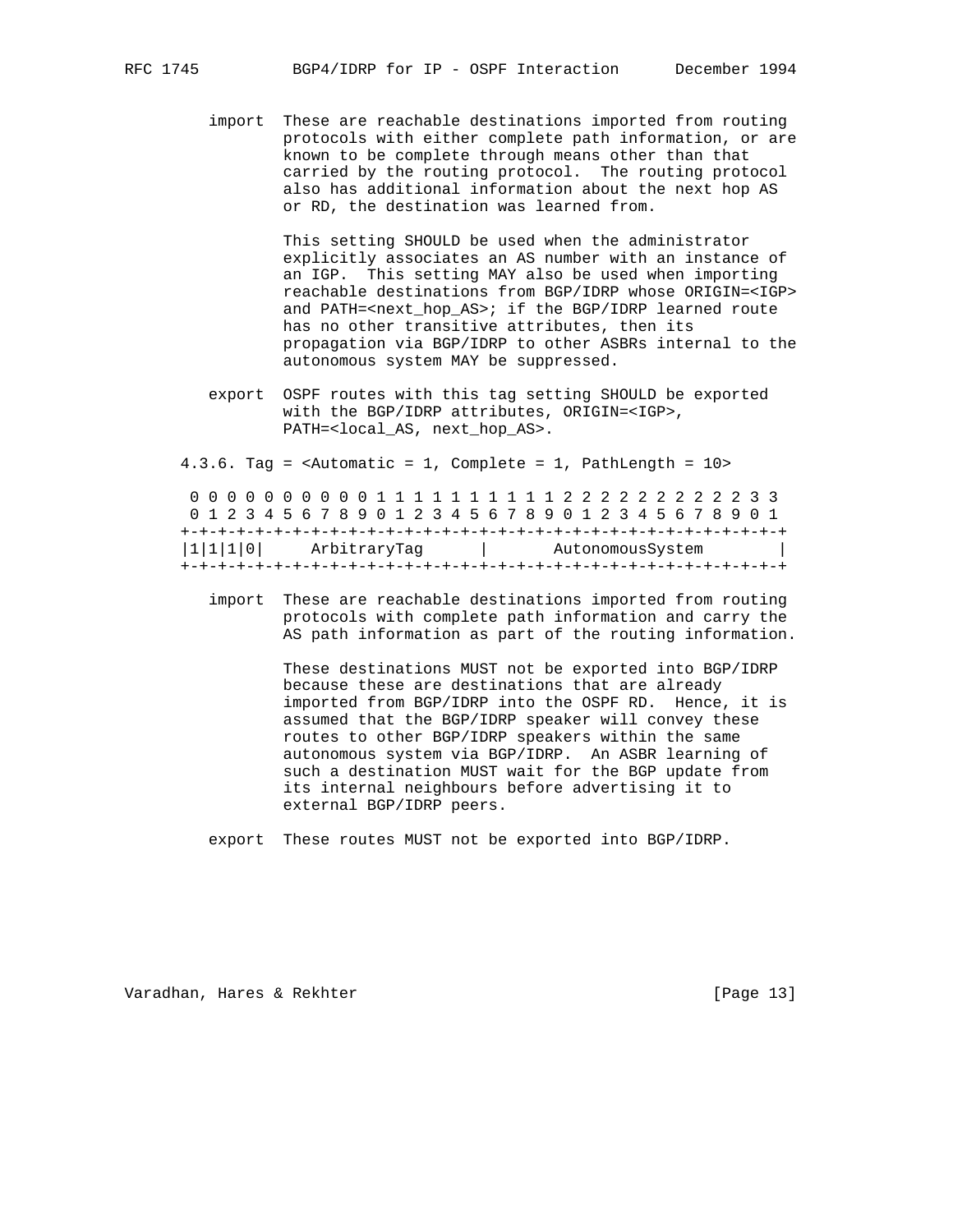import These are reachable destinations imported from routing protocols with either complete path information, or are known to be complete through means other than that carried by the routing protocol. The routing protocol also has additional information about the next hop AS or RD, the destination was learned from.

> This setting SHOULD be used when the administrator explicitly associates an AS number with an instance of an IGP. This setting MAY also be used when importing reachable destinations from BGP/IDRP whose ORIGIN=<IGP> and PATH=<next\_hop\_AS>; if the BGP/IDRP learned route has no other transitive attributes, then its propagation via BGP/IDRP to other ASBRs internal to the autonomous system MAY be suppressed.

 export OSPF routes with this tag setting SHOULD be exported with the BGP/IDRP attributes, ORIGIN=<IGP>, PATH=<local\_AS, next\_hop\_AS>.

4.3.6. Tag = <Automatic = 1, Complete = 1, PathLength = 10>

|                          |  |  |  |  |  |  |  |  |                  |  |  |  |  |  |  |  |  |  |  |  |  |        |  |  | 0 1 2 3 4 5 6 7 8 9 0 1 2 3 4 5 6 7 8 9 0 1 2 3 4 5 6 7 8 9 0 1 |  |
|--------------------------|--|--|--|--|--|--|--|--|------------------|--|--|--|--|--|--|--|--|--|--|--|--|--------|--|--|-----------------------------------------------------------------|--|
|                          |  |  |  |  |  |  |  |  |                  |  |  |  |  |  |  |  |  |  |  |  |  |        |  |  |                                                                 |  |
| 1 1 1 0 <br>ArbitraryTaq |  |  |  |  |  |  |  |  | AutonomousSystem |  |  |  |  |  |  |  |  |  |  |  |  | $\sim$ |  |  |                                                                 |  |
|                          |  |  |  |  |  |  |  |  |                  |  |  |  |  |  |  |  |  |  |  |  |  |        |  |  |                                                                 |  |

 import These are reachable destinations imported from routing protocols with complete path information and carry the AS path information as part of the routing information.

> These destinations MUST not be exported into BGP/IDRP because these are destinations that are already imported from BGP/IDRP into the OSPF RD. Hence, it is assumed that the BGP/IDRP speaker will convey these routes to other BGP/IDRP speakers within the same autonomous system via BGP/IDRP. An ASBR learning of such a destination MUST wait for the BGP update from its internal neighbours before advertising it to external BGP/IDRP peers.

export These routes MUST not be exported into BGP/IDRP.

Varadhan, Hares & Rekhter [Page 13]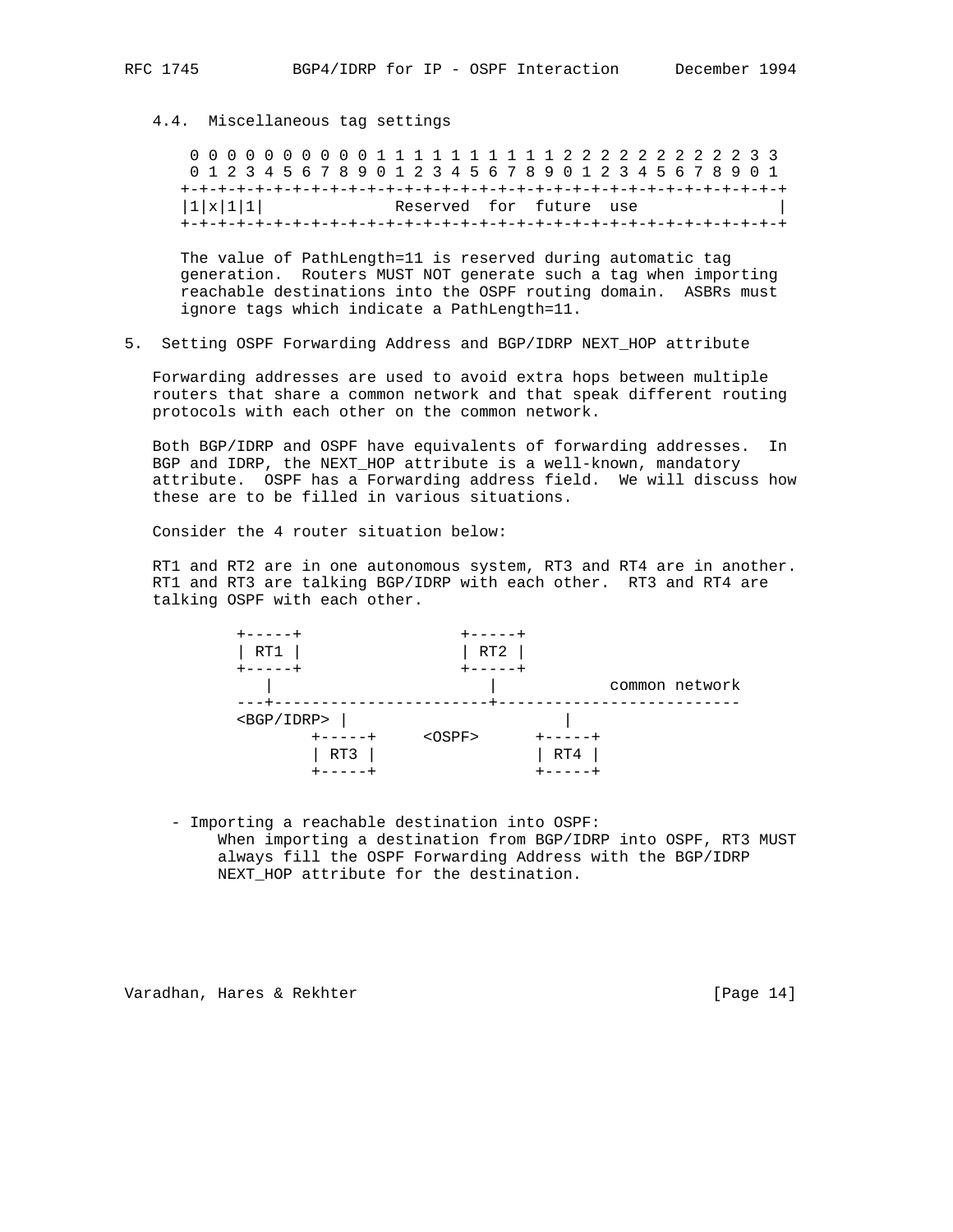## 4.4. Miscellaneous tag settings

 0 0 0 0 0 0 0 0 0 0 1 1 1 1 1 1 1 1 1 1 2 2 2 2 2 2 2 2 2 2 3 3 0 1 2 3 4 5 6 7 8 9 0 1 2 3 4 5 6 7 8 9 0 1 2 3 4 5 6 7 8 9 0 1 +-+-+-+-+-+-+-+-+-+-+-+-+-+-+-+-+-+-+-+-+-+-+-+-+-+-+-+-+-+-+-+-+  $|1|x|1|1|$  Reserved for future use +-+-+-+-+-+-+-+-+-+-+-+-+-+-+-+-+-+-+-+-+-+-+-+-+-+-+-+-+-+-+-+-+

 The value of PathLength=11 is reserved during automatic tag generation. Routers MUST NOT generate such a tag when importing reachable destinations into the OSPF routing domain. ASBRs must ignore tags which indicate a PathLength=11.

5. Setting OSPF Forwarding Address and BGP/IDRP NEXT\_HOP attribute

 Forwarding addresses are used to avoid extra hops between multiple routers that share a common network and that speak different routing protocols with each other on the common network.

 Both BGP/IDRP and OSPF have equivalents of forwarding addresses. In BGP and IDRP, the NEXT\_HOP attribute is a well-known, mandatory attribute. OSPF has a Forwarding address field. We will discuss how these are to be filled in various situations.

Consider the 4 router situation below:

 RT1 and RT2 are in one autonomous system, RT3 and RT4 are in another. RT1 and RT3 are talking BGP/IDRP with each other. RT3 and RT4 are talking OSPF with each other.



 - Importing a reachable destination into OSPF: When importing a destination from BGP/IDRP into OSPF, RT3 MUST always fill the OSPF Forwarding Address with the BGP/IDRP NEXT\_HOP attribute for the destination.

Varadhan, Hares & Rekhter [Page 14]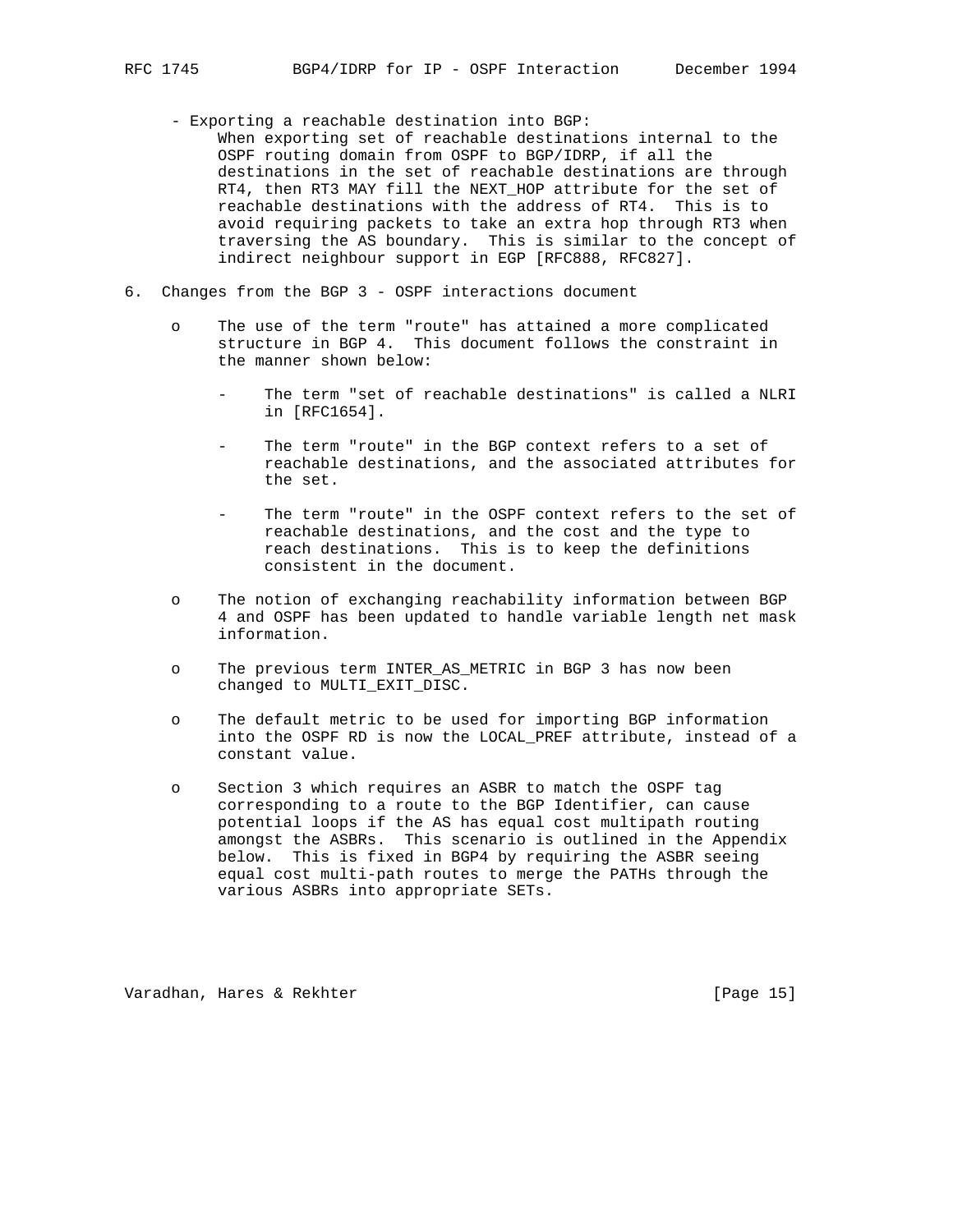- Exporting a reachable destination into BGP:
- When exporting set of reachable destinations internal to the OSPF routing domain from OSPF to BGP/IDRP, if all the destinations in the set of reachable destinations are through RT4, then RT3 MAY fill the NEXT\_HOP attribute for the set of reachable destinations with the address of RT4. This is to avoid requiring packets to take an extra hop through RT3 when traversing the AS boundary. This is similar to the concept of indirect neighbour support in EGP [RFC888, RFC827].
- 6. Changes from the BGP 3 OSPF interactions document
	- o The use of the term "route" has attained a more complicated structure in BGP 4. This document follows the constraint in the manner shown below:
		- The term "set of reachable destinations" is called a NLRI in [RFC1654].
		- The term "route" in the BGP context refers to a set of reachable destinations, and the associated attributes for the set.
		- The term "route" in the OSPF context refers to the set of reachable destinations, and the cost and the type to reach destinations. This is to keep the definitions consistent in the document.
	- o The notion of exchanging reachability information between BGP 4 and OSPF has been updated to handle variable length net mask information.
	- o The previous term INTER\_AS\_METRIC in BGP 3 has now been changed to MULTI\_EXIT\_DISC.
	- o The default metric to be used for importing BGP information into the OSPF RD is now the LOCAL\_PREF attribute, instead of a constant value.
	- o Section 3 which requires an ASBR to match the OSPF tag corresponding to a route to the BGP Identifier, can cause potential loops if the AS has equal cost multipath routing amongst the ASBRs. This scenario is outlined in the Appendix below. This is fixed in BGP4 by requiring the ASBR seeing equal cost multi-path routes to merge the PATHs through the various ASBRs into appropriate SETs.

Varadhan, Hares & Rekhter [Page 15]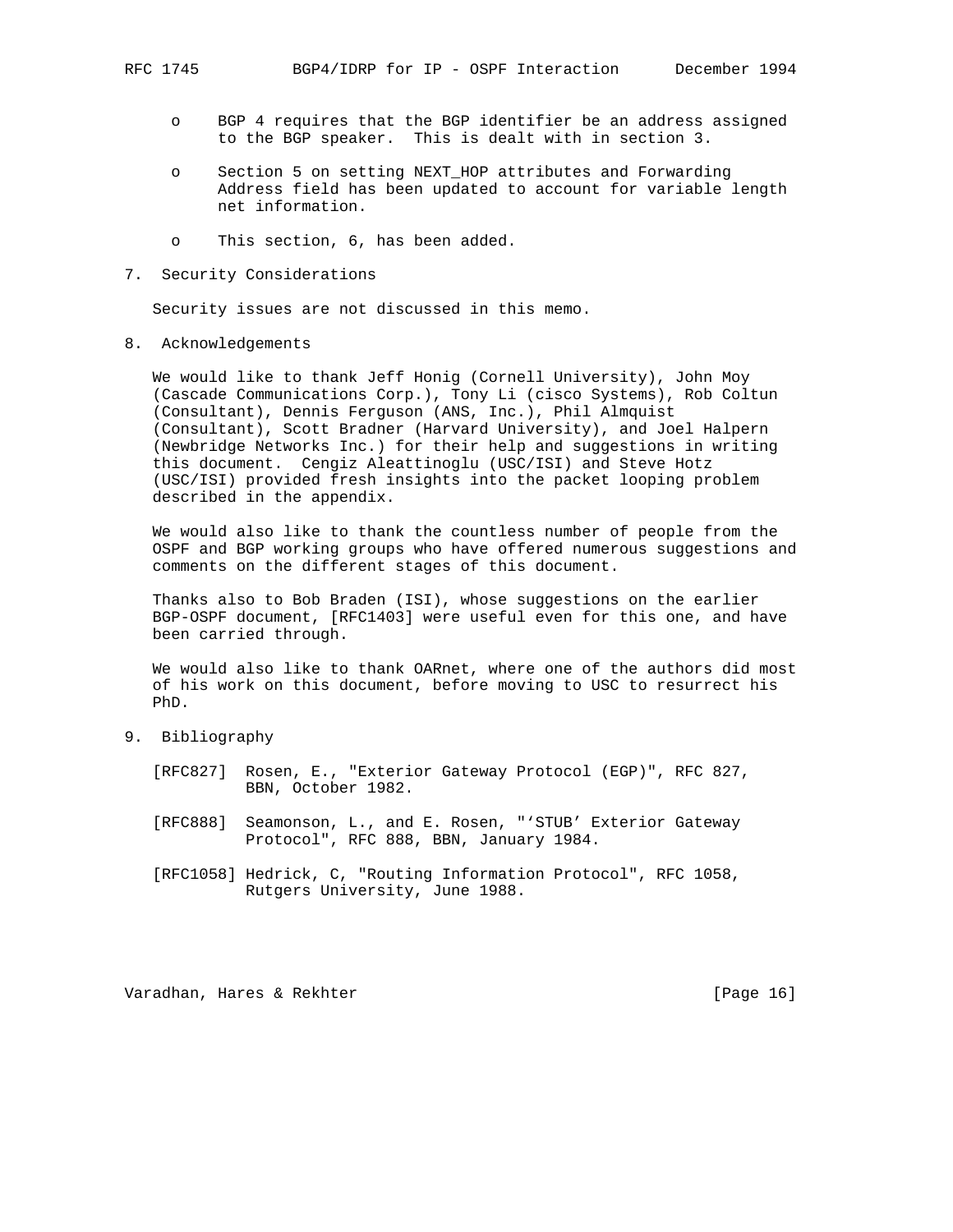- o BGP 4 requires that the BGP identifier be an address assigned to the BGP speaker. This is dealt with in section 3.
- o Section 5 on setting NEXT\_HOP attributes and Forwarding Address field has been updated to account for variable length net information.
- o This section, 6, has been added.
- 7. Security Considerations

Security issues are not discussed in this memo.

8. Acknowledgements

 We would like to thank Jeff Honig (Cornell University), John Moy (Cascade Communications Corp.), Tony Li (cisco Systems), Rob Coltun (Consultant), Dennis Ferguson (ANS, Inc.), Phil Almquist (Consultant), Scott Bradner (Harvard University), and Joel Halpern (Newbridge Networks Inc.) for their help and suggestions in writing this document. Cengiz Aleattinoglu (USC/ISI) and Steve Hotz (USC/ISI) provided fresh insights into the packet looping problem described in the appendix.

 We would also like to thank the countless number of people from the OSPF and BGP working groups who have offered numerous suggestions and comments on the different stages of this document.

 Thanks also to Bob Braden (ISI), whose suggestions on the earlier BGP-OSPF document, [RFC1403] were useful even for this one, and have been carried through.

 We would also like to thank OARnet, where one of the authors did most of his work on this document, before moving to USC to resurrect his PhD.

- 9. Bibliography
	- [RFC827] Rosen, E., "Exterior Gateway Protocol (EGP)", RFC 827, BBN, October 1982.
	- [RFC888] Seamonson, L., and E. Rosen, "'STUB' Exterior Gateway Protocol", RFC 888, BBN, January 1984.
	- [RFC1058] Hedrick, C, "Routing Information Protocol", RFC 1058, Rutgers University, June 1988.

Varadhan, Hares & Rekhter [Page 16]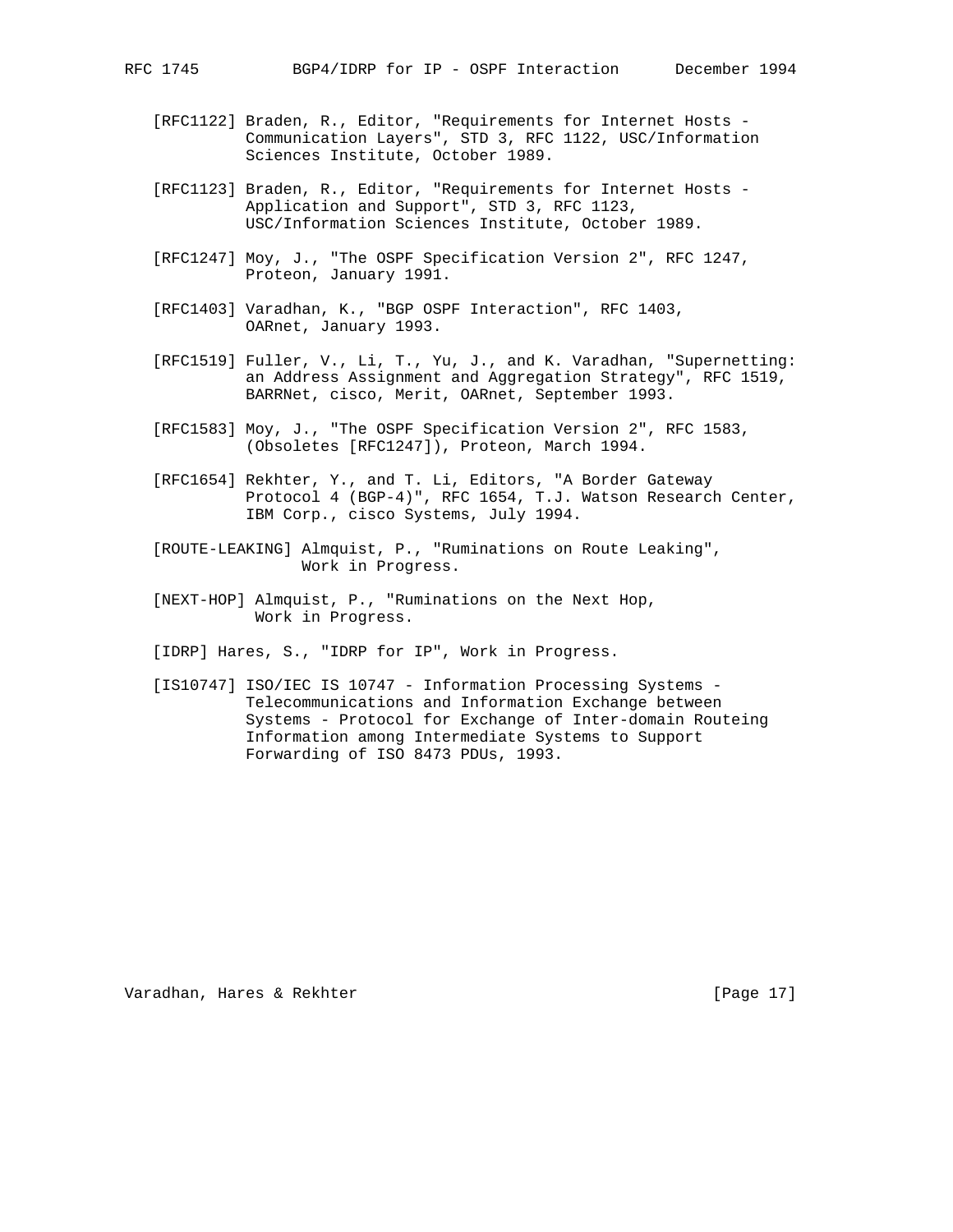- [RFC1122] Braden, R., Editor, "Requirements for Internet Hosts Communication Layers", STD 3, RFC 1122, USC/Information Sciences Institute, October 1989.
- [RFC1123] Braden, R., Editor, "Requirements for Internet Hosts Application and Support", STD 3, RFC 1123, USC/Information Sciences Institute, October 1989.
- [RFC1247] Moy, J., "The OSPF Specification Version 2", RFC 1247, Proteon, January 1991.
- [RFC1403] Varadhan, K., "BGP OSPF Interaction", RFC 1403, OARnet, January 1993.
- [RFC1519] Fuller, V., Li, T., Yu, J., and K. Varadhan, "Supernetting: an Address Assignment and Aggregation Strategy", RFC 1519, BARRNet, cisco, Merit, OARnet, September 1993.
- [RFC1583] Moy, J., "The OSPF Specification Version 2", RFC 1583, (Obsoletes [RFC1247]), Proteon, March 1994.
- [RFC1654] Rekhter, Y., and T. Li, Editors, "A Border Gateway Protocol 4 (BGP-4)", RFC 1654, T.J. Watson Research Center, IBM Corp., cisco Systems, July 1994.
- [ROUTE-LEAKING] Almquist, P., "Ruminations on Route Leaking", Work in Progress.
- [NEXT-HOP] Almquist, P., "Ruminations on the Next Hop, Work in Progress.
- [IDRP] Hares, S., "IDRP for IP", Work in Progress.
- [IS10747] ISO/IEC IS 10747 Information Processing Systems Telecommunications and Information Exchange between Systems - Protocol for Exchange of Inter-domain Routeing Information among Intermediate Systems to Support Forwarding of ISO 8473 PDUs, 1993.

Varadhan, Hares & Rekhter [Page 17]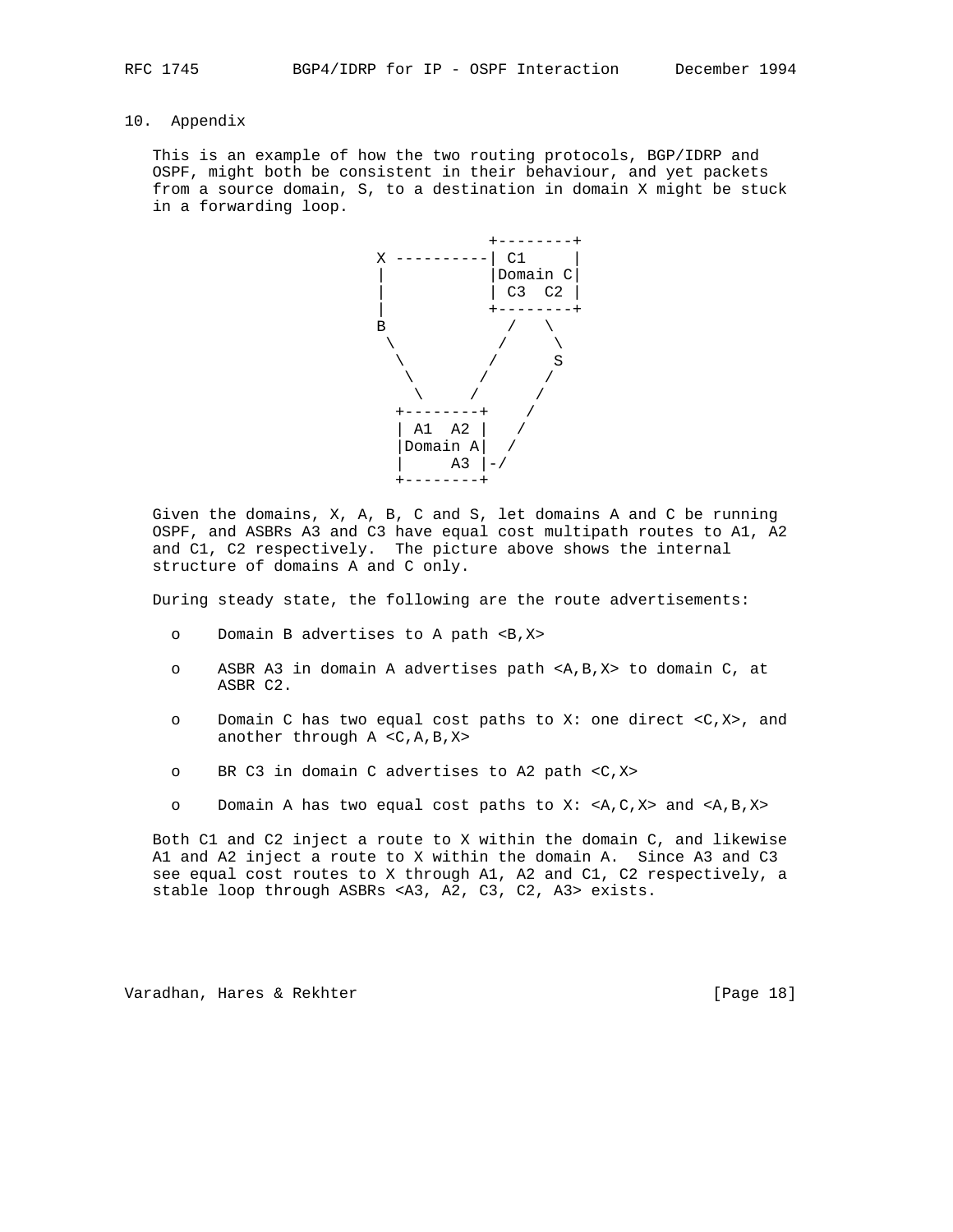# 10. Appendix

 This is an example of how the two routing protocols, BGP/IDRP and OSPF, might both be consistent in their behaviour, and yet packets from a source domain, S, to a destination in domain X might be stuck in a forwarding loop.



 Given the domains, X, A, B, C and S, let domains A and C be running OSPF, and ASBRs A3 and C3 have equal cost multipath routes to A1, A2 and C1, C2 respectively. The picture above shows the internal structure of domains A and C only.

During steady state, the following are the route advertisements:

- o Domain B advertises to A path <B,X>
- o ASBR A3 in domain A advertises path <A,B,X> to domain C, at ASBR C2.
- o Domain C has two equal cost paths to X: one direct <C,X>, and another through A <C,A,B,X>
- o BR C3 in domain C advertises to A2 path <C,X>
- o Domain A has two equal cost paths to X: <A,C,X> and <A,B,X>

 Both C1 and C2 inject a route to X within the domain C, and likewise A1 and A2 inject a route to X within the domain A. Since A3 and C3 see equal cost routes to X through A1, A2 and C1, C2 respectively, a stable loop through ASBRs <A3, A2, C3, C2, A3> exists.

Varadhan, Hares & Rekhter [Page 18]